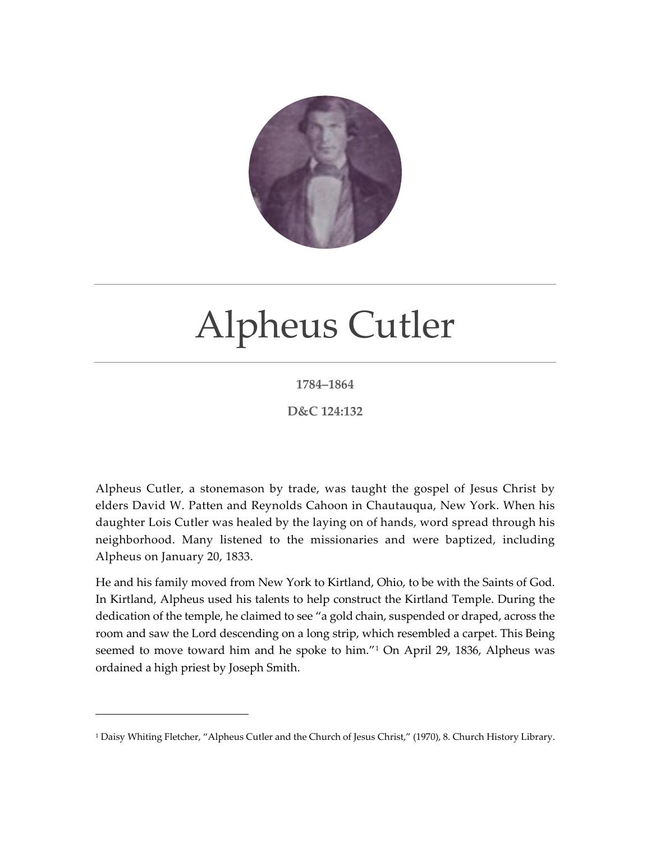

## Alpheus Cutler

## **1784–1864**

## **D&C 124:132**

Alpheus Cutler, a stonemason by trade, was taught the gospel of Jesus Christ by elders David W. Patten and Reynolds Cahoon in Chautauqua, New York. When his daughter Lois Cutler was healed by the laying on of hands, word spread through his neighborhood. Many listened to the missionaries and were baptized, including Alpheus on January 20, 1833.

He and his family moved from New York to Kirtland, Ohio, to be with the Saints of God. In Kirtland, Alpheus used his talents to help construct the Kirtland Temple. During the dedication of the temple, he claimed to see "a gold chain, suspended or draped, across the room and saw the Lord descending on a long strip, which resembled a carpet. This Being seemed to move toward him and he spoke to him."[1](#page-0-0) On April 29, 1836, Alpheus was ordained a high priest by Joseph Smith.

<span id="page-0-0"></span><sup>&</sup>lt;sup>1</sup> Daisy Whiting Fletcher, "Alpheus Cutler and the Church of Jesus Christ," (1970), 8. Church History Library.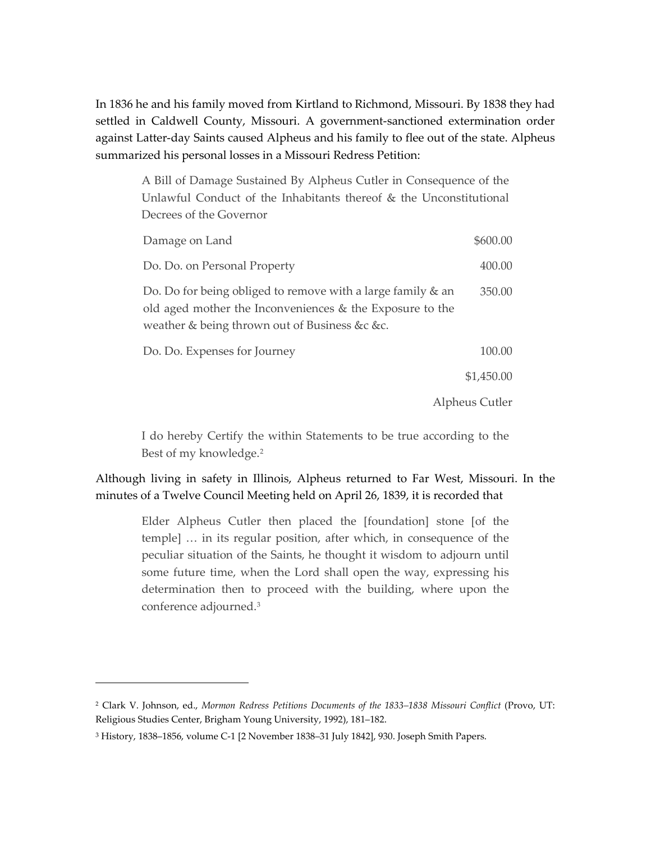In 1836 he and his family moved from Kirtland to Richmond, Missouri. By 1838 they had settled in Caldwell County, Missouri. A government-sanctioned extermination order against Latter-day Saints caused Alpheus and his family to flee out of the state. Alpheus summarized his personal losses in a Missouri Redress Petition:

A Bill of Damage Sustained By Alpheus Cutler in Consequence of the Unlawful Conduct of the Inhabitants thereof & the Unconstitutional Decrees of the Governor

| Damage on Land                                                                                                                                                           | \$600.00   |
|--------------------------------------------------------------------------------------------------------------------------------------------------------------------------|------------|
| Do. Do. on Personal Property                                                                                                                                             | 400.00     |
| Do. Do for being obliged to remove with a large family & an<br>old aged mother the Inconveniences & the Exposure to the<br>weather & being thrown out of Business &c &c. | 350.00     |
| Do. Do. Expenses for Journey                                                                                                                                             | 100.00     |
|                                                                                                                                                                          | \$1,450.00 |
| Alpheus Cutler                                                                                                                                                           |            |

I do hereby Certify the within Statements to be true according to the Best of my knowledge.[2](#page-1-0)

Although living in safety in Illinois, Alpheus returned to Far West, Missouri. In the minutes of a Twelve Council Meeting held on April 26, 1839, it is recorded that

Elder Alpheus Cutler then placed the [foundation] stone [of the temple] … in its regular position, after which, in consequence of the peculiar situation of the Saints, he thought it wisdom to adjourn until some future time, when the Lord shall open the way, expressing his determination then to proceed with the building, where upon the conference adjourned.[3](#page-1-1)

<span id="page-1-0"></span><sup>&</sup>lt;sup>2</sup> Clark V. Johnson, ed., *Mormon Redress Petitions Documents of the 1833-1838 Missouri Conflict (Provo, UT:* Religious Studies Center, Brigham Young University, 1992), 181–182.

<span id="page-1-1"></span><sup>3</sup> History, 1838–1856, volume C-1 [2 November 1838–31 July 1842], 930. Joseph Smith Papers.